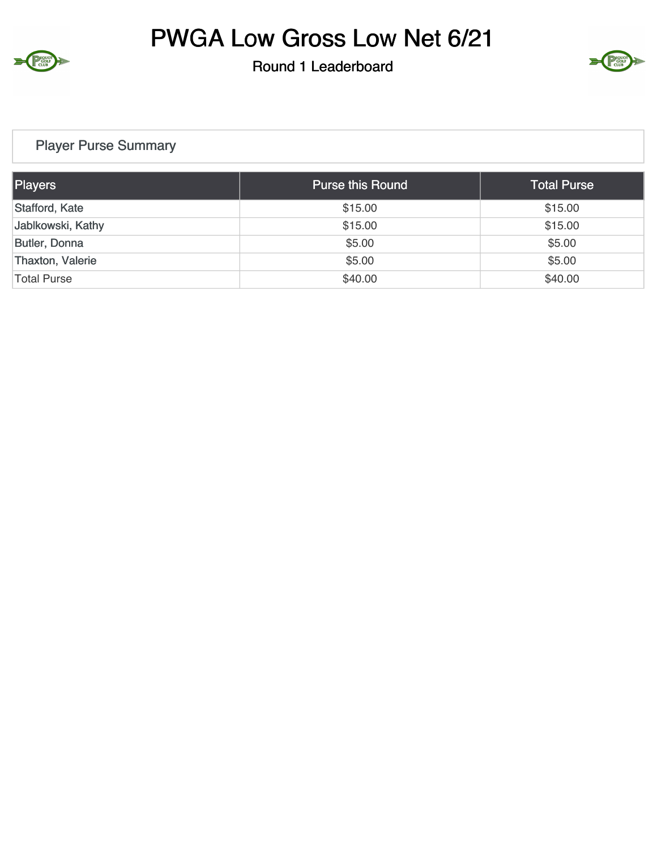

# PWGA Low Gross Low Net 6/21

Round 1 Leaderboard



### Player Purse Summary

| Players              | <b>Purse this Round</b> | <b>Total Purse</b> |
|----------------------|-------------------------|--------------------|
| Stafford, Kate       | \$15.00                 | \$15.00            |
| Jablkowski, Kathy    | \$15.00                 | \$15.00            |
| <b>Butler, Donna</b> | \$5.00                  | \$5.00             |
| Thaxton, Valerie     | \$5.00                  | \$5.00             |
| Total Purse          | \$40.00                 | \$40.00            |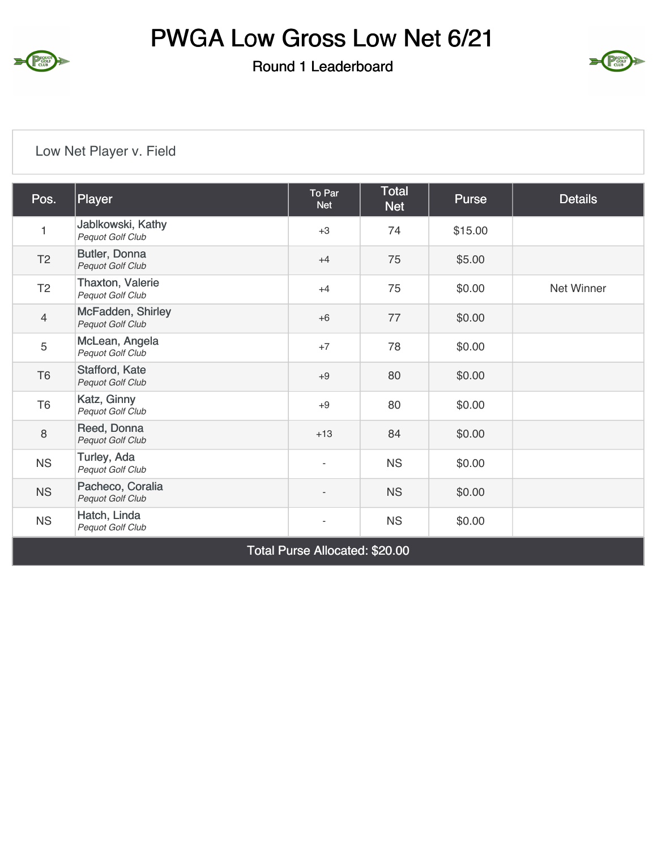

# PWGA Low Gross Low Net 6/21

Round 1 Leaderboard



### Low Net Player v. Field

| Pos.                           | Player                                | To Par<br><b>Net</b>     | <b>Total</b><br><b>Net</b> | Purse   | <b>Details</b> |  |  |
|--------------------------------|---------------------------------------|--------------------------|----------------------------|---------|----------------|--|--|
| 1                              | Jablkowski, Kathy<br>Pequot Golf Club | $+3$                     | 74                         | \$15.00 |                |  |  |
| T <sub>2</sub>                 | Butler, Donna<br>Pequot Golf Club     | $+4$                     | 75                         | \$5.00  |                |  |  |
| T <sub>2</sub>                 | Thaxton, Valerie<br>Pequot Golf Club  | $+4$                     | 75                         | \$0.00  | Net Winner     |  |  |
| $\overline{4}$                 | McFadden, Shirley<br>Pequot Golf Club | $+6$                     | 77                         | \$0.00  |                |  |  |
| 5                              | McLean, Angela<br>Pequot Golf Club    | $+7$                     | 78                         | \$0.00  |                |  |  |
| T <sub>6</sub>                 | Stafford, Kate<br>Pequot Golf Club    | $+9$                     | 80                         | \$0.00  |                |  |  |
| T <sub>6</sub>                 | Katz, Ginny<br>Pequot Golf Club       | $+9$                     | 80                         | \$0.00  |                |  |  |
| 8                              | Reed, Donna<br>Pequot Golf Club       | $+13$                    | 84                         | \$0.00  |                |  |  |
| <b>NS</b>                      | Turley, Ada<br>Pequot Golf Club       | $\overline{\phantom{a}}$ | <b>NS</b>                  | \$0.00  |                |  |  |
| <b>NS</b>                      | Pacheco, Coralia<br>Pequot Golf Club  | $\overline{\phantom{a}}$ | <b>NS</b>                  | \$0.00  |                |  |  |
| <b>NS</b>                      | Hatch, Linda<br>Pequot Golf Club      | $\overline{\phantom{a}}$ | <b>NS</b>                  | \$0.00  |                |  |  |
| Total Purse Allocated: \$20.00 |                                       |                          |                            |         |                |  |  |